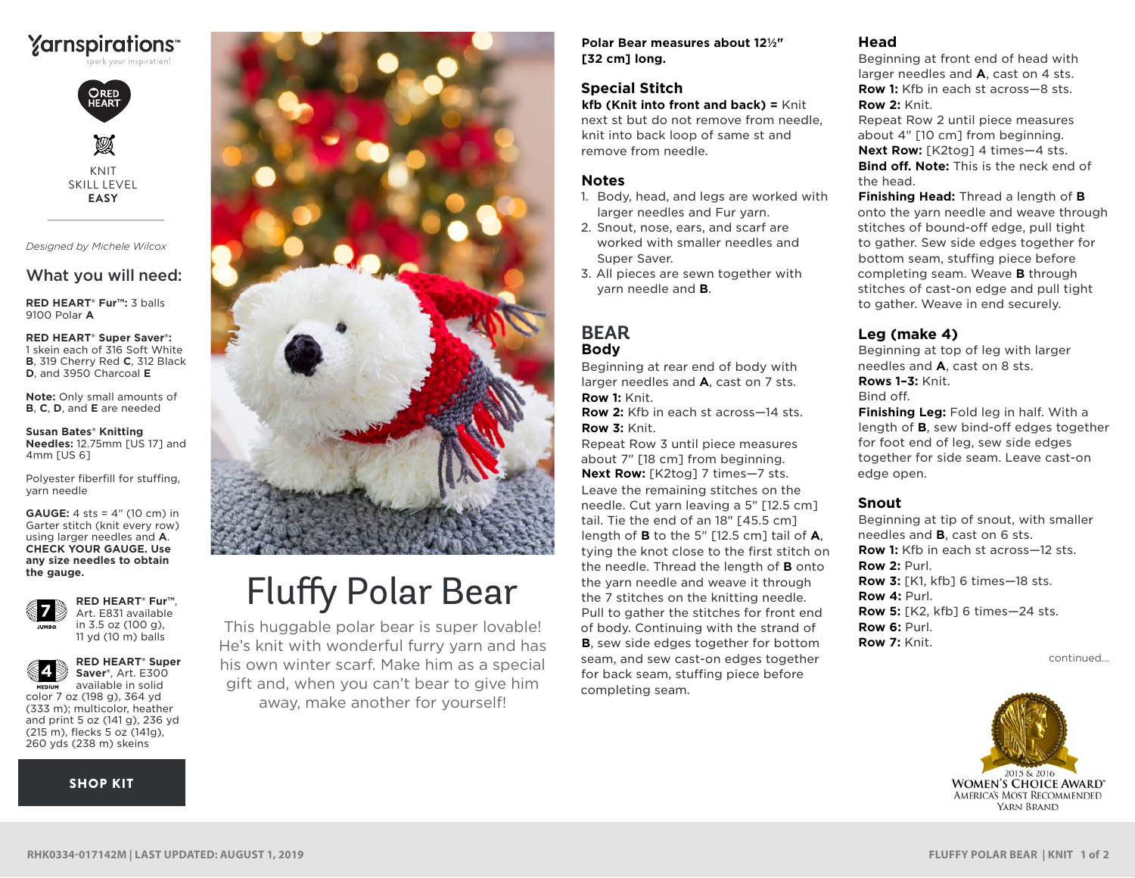



KNIT SKILL LEVEL **EASY**

*Designed by Michele Wilcox*

## What you will need:

**RED HEART® Fur™:** 3 balls 9100 Polar **A**

**RED HEART® Super Saver®:** 1 skein each of 316 Soft White **B**, 319 Cherry Red **C**, 312 Black **D**, and 3950 Charcoal **E**

**Note:** Only small amounts of **B**, **C**, **D**, and **E** are needed

**Susan Bates® Knitting Needles:** 12.75mm [US 17] and 4mm [US 6]

Polyester fiberfill for stuffing, yarn needle

**GAUGE:** 4 sts = 4" (10 cm) in Garter stitch (knit every row) using larger needles and **A**. **CHECK YOUR GAUGE. Use any size needles to obtain the gauge.**



**RED HEART® Fur™**, Art. E831 available in 3.5 oz (100 g), 11 yd (10 m) balls

**RED HEART® Super** 



**Saver®**, Art. E300 available in solid **MED UM** color 7 oz (198 g), 364 yd (333 m); multicolor, heather and print 5 oz (141 g), 236 yd (215 m), flecks 5 oz (141g), 260 yds (238 m) skeins

[SHOP KIT](https://www.yarnspirations.com/red-heart-fluffy-polar-bear/RHK0334-017142M.html#utm_source=pdf-yarnspirations&utm_medium=referral&utm_campaign=pdf-RHK0334-017142M)



# Fluffy Polar Bear

This huggable polar bear is super lovable! He's knit with wonderful furry yarn and has his own winter scarf. Make him as a special gift and, when you can't bear to give him away, make another for yourself!

**Polar Bear measures about 12½" [32 cm] long.**

## **Special Stitch**

**kfb (Knit into front and back) =** Knit next st but do not remove from needle, knit into back loop of same st and remove from needle.

## **Notes**

- 1. Body, head, and legs are worked with larger needles and Fur yarn.
- 2. Snout, nose, ears, and scarf are worked with smaller needles and Super Saver.
- 3. All pieces are sewn together with yarn needle and **B**.

## **BEAR Body**

Beginning at rear end of body with larger needles and **A**, cast on 7 sts. **Row 1:** Knit.

**Row 2:** Kfb in each st across—14 sts. **Row 3:** Knit.

Repeat Row 3 until piece measures about 7" [18 cm] from beginning. **Next Row:** [K2tog] 7 times—7 sts. Leave the remaining stitches on the needle. Cut yarn leaving a 5" [12.5 cm] tail. Tie the end of an 18" [45.5 cm] length of **B** to the 5" [12.5 cm] tail of **A**, tying the knot close to the first stitch on the needle. Thread the length of **B** onto the yarn needle and weave it through the 7 stitches on the knitting needle. Pull to gather the stitches for front end of body. Continuing with the strand of **B**, sew side edges together for bottom seam, and sew cast-on edges together for back seam, stuffing piece before completing seam.

#### **Head**

Beginning at front end of head with larger needles and **A**, cast on 4 sts. **Row 1:** Kfb in each st across-8 sts. **Row 2:** Knit.

Repeat Row 2 until piece measures about 4" [10 cm] from beginning. **Next Row:** [K2tog] 4 times—4 sts. **Bind off. Note:** This is the neck end of the head.

**Finishing Head:** Thread a length of **B** onto the yarn needle and weave through stitches of bound-off edge, pull tight to gather. Sew side edges together for bottom seam, stuffing piece before completing seam. Weave **B** through stitches of cast-on edge and pull tight to gather. Weave in end securely.

## **Leg (make 4)**

Beginning at top of leg with larger needles and **A**, cast on 8 sts. **Rows 1–3:** Knit. Bind off.

**Finishing Leg:** Fold leg in half. With a length of **B**, sew bind-off edges together for foot end of leg, sew side edges together for side seam. Leave cast-on edge open.

## **Snout**

Beginning at tip of snout, with smaller needles and **B**, cast on 6 sts. **Row 1:** Kfb in each st across-12 sts. **Row 2:** Purl. **Row 3:** [K1, kfb] 6 times—18 sts. **Row 4:** Purl. **Row 5:** [K2, kfb] 6 times—24 sts. **Row 6:** Purl. **Row 7:** Knit.

continued...